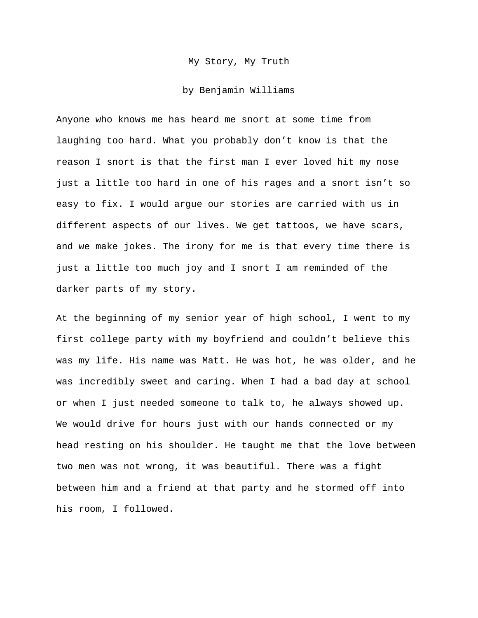## My Story, My Truth

## by Benjamin Williams

Anyone who knows me has heard me snort at some time from laughing too hard. What you probably don't know is that the reason I snort is that the first man I ever loved hit my nose just a little too hard in one of his rages and a snort isn't so easy to fix. I would argue our stories are carried with us in different aspects of our lives. We get tattoos, we have scars, and we make jokes. The irony for me is that every time there is just a little too much joy and I snort I am reminded of the darker parts of my story.

At the beginning of my senior year of high school, I went to my first college party with my boyfriend and couldn't believe this was my life. His name was Matt. He was hot, he was older, and he was incredibly sweet and caring. When I had a bad day at school or when I just needed someone to talk to, he always showed up. We would drive for hours just with our hands connected or my head resting on his shoulder. He taught me that the love between two men was not wrong, it was beautiful. There was a fight between him and a friend at that party and he stormed off into his room, I followed.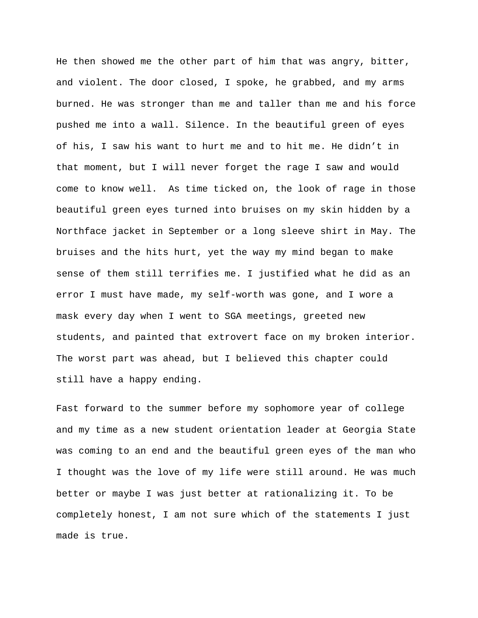He then showed me the other part of him that was angry, bitter, and violent. The door closed, I spoke, he grabbed, and my arms burned. He was stronger than me and taller than me and his force pushed me into a wall. Silence. In the beautiful green of eyes of his, I saw his want to hurt me and to hit me. He didn't in that moment, but I will never forget the rage I saw and would come to know well. As time ticked on, the look of rage in those beautiful green eyes turned into bruises on my skin hidden by a Northface jacket in September or a long sleeve shirt in May. The bruises and the hits hurt, yet the way my mind began to make sense of them still terrifies me. I justified what he did as an error I must have made, my self-worth was gone, and I wore a mask every day when I went to SGA meetings, greeted new students, and painted that extrovert face on my broken interior. The worst part was ahead, but I believed this chapter could still have a happy ending.

Fast forward to the summer before my sophomore year of college and my time as a new student orientation leader at Georgia State was coming to an end and the beautiful green eyes of the man who I thought was the love of my life were still around. He was much better or maybe I was just better at rationalizing it. To be completely honest, I am not sure which of the statements I just made is true.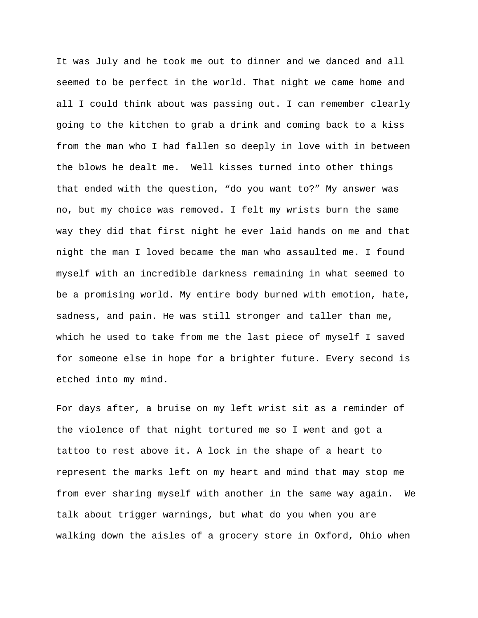It was July and he took me out to dinner and we danced and all seemed to be perfect in the world. That night we came home and all I could think about was passing out. I can remember clearly going to the kitchen to grab a drink and coming back to a kiss from the man who I had fallen so deeply in love with in between the blows he dealt me. Well kisses turned into other things that ended with the question, "do you want to?" My answer was no, but my choice was removed. I felt my wrists burn the same way they did that first night he ever laid hands on me and that night the man I loved became the man who assaulted me. I found myself with an incredible darkness remaining in what seemed to be a promising world. My entire body burned with emotion, hate, sadness, and pain. He was still stronger and taller than me, which he used to take from me the last piece of myself I saved for someone else in hope for a brighter future. Every second is etched into my mind.

For days after, a bruise on my left wrist sit as a reminder of the violence of that night tortured me so I went and got a tattoo to rest above it. A lock in the shape of a heart to represent the marks left on my heart and mind that may stop me from ever sharing myself with another in the same way again. We talk about trigger warnings, but what do you when you are walking down the aisles of a grocery store in Oxford, Ohio when